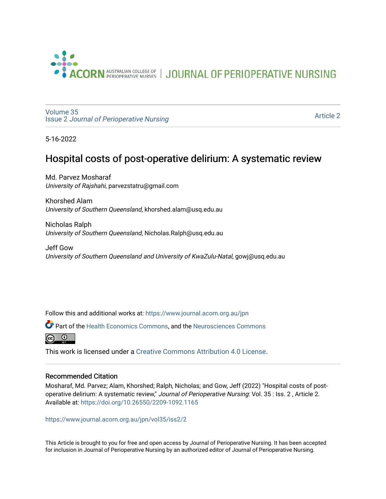

JOURNAL OF PERIOPERATIVE NURSING

[Volume 35](https://www.journal.acorn.org.au/jpn/vol35) Issue 2 [Journal of Perioperative Nursing](https://www.journal.acorn.org.au/jpn/vol35/iss2)

[Article 2](https://www.journal.acorn.org.au/jpn/vol35/iss2/2) 

5-16-2022

# Hospital costs of post-operative delirium: A systematic review

Md. Parvez Mosharaf University of Rajshahi, parvezstatru@gmail.com

Khorshed Alam University of Southern Queensland, khorshed.alam@usq.edu.au

Nicholas Ralph University of Southern Queensland, Nicholas.Ralph@usq.edu.au

Jeff Gow University of Southern Queensland and University of KwaZulu-Natal, gowj@usq.edu.au

Follow this and additional works at: [https://www.journal.acorn.org.au/jpn](https://www.journal.acorn.org.au/jpn?utm_source=www.journal.acorn.org.au%2Fjpn%2Fvol35%2Fiss2%2F2&utm_medium=PDF&utm_campaign=PDFCoverPages) 

Part of the [Health Economics Commons,](https://network.bepress.com/hgg/discipline/1085?utm_source=www.journal.acorn.org.au%2Fjpn%2Fvol35%2Fiss2%2F2&utm_medium=PDF&utm_campaign=PDFCoverPages) and the [Neurosciences Commons](https://network.bepress.com/hgg/discipline/1010?utm_source=www.journal.acorn.org.au%2Fjpn%2Fvol35%2Fiss2%2F2&utm_medium=PDF&utm_campaign=PDFCoverPages) 



This work is licensed under a [Creative Commons Attribution 4.0 License](https://creativecommons.org/licenses/by/4.0/).

#### Recommended Citation

Mosharaf, Md. Parvez; Alam, Khorshed; Ralph, Nicholas; and Gow, Jeff (2022) "Hospital costs of postoperative delirium: A systematic review," Journal of Perioperative Nursing: Vol. 35 : Iss. 2 , Article 2. Available at:<https://doi.org/10.26550/2209-1092.1165>

[https://www.journal.acorn.org.au/jpn/vol35/iss2/2](10.26550/2209-1092.1165?utm_source=www.journal.acorn.org.au%2Fjpn%2Fvol35%2Fiss2%2F2&utm_medium=PDF&utm_campaign=PDFCoverPages)

This Article is brought to you for free and open access by Journal of Perioperative Nursing. It has been accepted for inclusion in Journal of Perioperative Nursing by an authorized editor of Journal of Perioperative Nursing.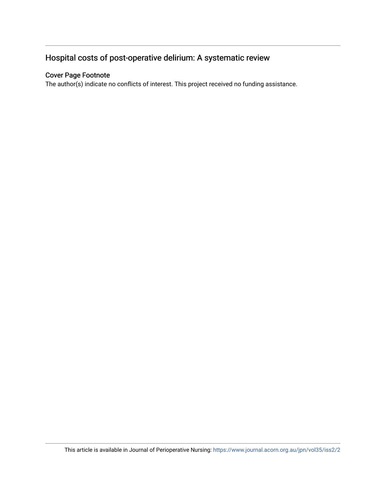# Hospital costs of post-operative delirium: A systematic review

### Cover Page Footnote

The author(s) indicate no conflicts of interest. This project received no funding assistance.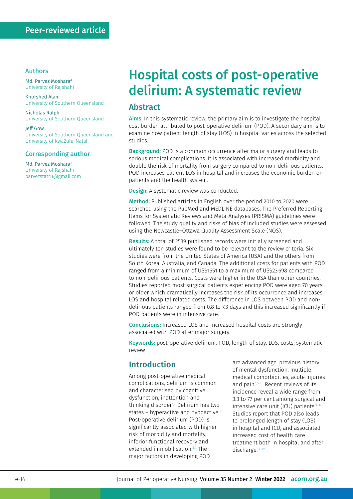#### Authors

Md. Parvez Mosharaf University of Rajshahi

Khorshed Alam University of Southern Queensland

Nicholas Ralph University of Southern Queensland

Jeff Gow University of Southern Queensland and University of KwaZulu-Natal

#### Corresponding author

Md. Parvez Mosharaf University of Rajshahi [parvezstatru@gmail.com](mailto:parvezstatru@gmail.com)

# Hospital costs of post-operative delirium: A systematic review

### Abstract

Aims: In this systematic review, the primary aim is to investigate the hospital cost burden attributed to post-operative delirium (POD). A secondary aim is to examine how patient length of stay (LOS) in hospital varies across the selected studies.

**Background:** POD is a common occurrence after major surgery and leads to serious medical complications. It is associated with increased morbidity and double the risk of mortality from surgery compared to non-delirious patients. POD increases patient LOS in hospital and increases the economic burden on patients and the health system.

**Design:** A systematic review was conducted.

Method: Published articles in English over the period 2010 to 2020 were searched using the PubMed and MEDLINE databases. The Preferred Reporting Items for Systematic Reviews and Meta‐Analyses (PRISMA) guidelines were followed. The study quality and risks of bias of included studies were assessed using the Newcastle–Ottawa Quality Assessment Scale (NOS).

Results: A total of 2539 published records were initially screened and ultimately ten studies were found to be relevant to the review criteria. Six studies were from the United States of America (USA) and the others from South Korea, Australia, and Canada. The additional costs for patients with POD ranged from a minimum of US\$1551 to a maximum of US\$23698 compared to non-delirious patients. Costs were higher in the USA than other countries. Studies reported most surgical patients experiencing POD were aged 70 years or older which dramatically increases the risk of its occurrence and increases LOS and hospital related costs. The difference in LOS between POD and nondelirious patients ranged from 0.8 to 7.3 days and this increased significantly if POD patients were in intensive care.

Conclusions: Increased LOS and increased hospital costs are strongly associated with POD after major surgery.

Keywords: post-operative delirium, POD, length of stay, LOS, costs, systematic review

### Introduction

Among post-operative medical complications, delirium is common and characterised by cognitive dysfunction, inattention and thinking disorder.<sup>1,2</sup> Delirium has two states – hyperactive and hypoactive.<sup>3</sup> Post-operative delirium (POD) is significantly associated with higher risk of morbidity and mortality, inferior functional recovery and extended immobilisation.<sup>3,4</sup> The major factors in developing POD

are advanced age, previous history of mental dysfunction, multiple medical comorbidities, acute injuries and pain.<sup>1,5–8</sup> Recent reviews of its incidence reveal a wide range from 3.3 to 77 per cent among surgical and intensive care unit (ICU) patients. $9-12$ Studies report that POD also leads to prolonged length of stay (LOS) in hospital and ICU, and associated increased cost of health care treatment both in hospital and after discharge.<sup>13-19</sup>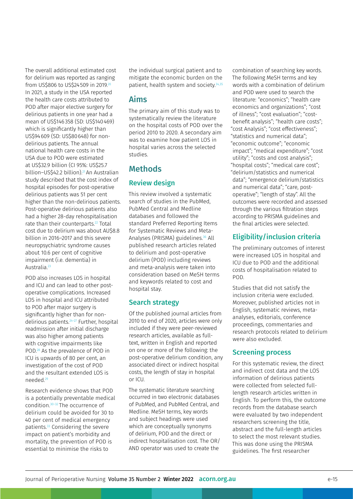The overall additional estimated cost for delirium was reported as ranging from US\$806 to US\$24509 in 2019.20 In 2021, a study in the USA reported the health care costs attributed to POD after major elective surgery for delirious patients in one year had a mean of US\$146358 (SD: US\$140469) which is significantly higher than US\$94609 (SD: US\$80648) for nondelirious patients. The annual national health care costs in the USA due to POD were estimated at US\$32.9 billion (CI 95%: US\$25.7 billion–US\$42.2 billion).21 An Australian study described that the cost index of hospital episodes for post-operative delirious patients was 51 per cent higher than the non-delirious patients. Post-operative delirious patients also had a higher 28-day rehospitalisation rate than their counterparts.<sup>22</sup> Total cost due to delirium was about AU\$8.8 billion in 2016–2017 and this severe neuropsychiatric syndrome causes about 10.6 per cent of cognitive impairment (i.e. dementia) in Australia.23

POD also increases LOS in hospital and ICU and can lead to other postoperative complications. Increased LOS in hospital and ICU attributed to POD after major surgery is significantly higher than for nondelirious patients.24–27 Further, hospital readmission after initial discharge was also higher among patients with cognitive impairments like POD.28 As the prevalence of POD in ICU is upwards of 80 per cent, an investigation of the cost of POD and the resultant extended LOS is needed.29

Research evidence shows that POD is a potentially preventable medical condition.30–32 The occurrence of delirium could be avoided for 30 to 40 per cent of medical emergency patients.<sup>33</sup> Considering the severe impact on patient's morbidity and mortality, the prevention of POD is essential to minimise the risks to

the individual surgical patient and to mitigate the economic burden on the patient, health system and society.<sup>34,35</sup>

### Aims

The primary aim of this study was to systematically review the literature on the hospital costs of POD over the period 2010 to 2020. A secondary aim was to examine how patient LOS in hospital varies across the selected studies.

### Methods

### Review design

This review involved a systematic search of studies in the PubMed, PubMed Central and Medline databases and followed the standard Preferred Reporting Items for Systematic Reviews and Meta-Analyses (PRISMA) guidelines.<sup>36</sup> All published research articles related to delirium and post-operative delirium (POD) including reviews and meta-analysis were taken into consideration based on MeSH terms and keywords related to cost and hospital stay.

#### Search strategy

Of the published journal articles from 2010 to end of 2020, articles were only included if they were peer-reviewed research articles, available as fulltext, written in English and reported on one or more of the following: the post-operative delirium condition, any associated direct or indirect hospital costs, the length of stay in hospital or ICU.

The systematic literature searching occurred in two electronic databases of PubMed, and PubMed Central, and Medline. MeSH terms, key words and subject headings were used which are conceptually synonyms of delirium, POD and the direct or indirect hospitalisation cost. The OR/ AND operator was used to create the

combination of searching key words. The following MeSH terms and key words with a combination of delirium and POD were used to search the literature: "economics"; "health care economics and organizations"; "cost of illness"; "cost evaluation"; "costbenefit analysis"; "health care costs"; "cost Analysis"; "cost effectiveness"; "statistics and numerical data"; "economic outcome"; "economic impact"; "medical expenditure"; "cost utility"; "costs and cost analysis"; "hospital costs"; "medical care cost"; "delirium/statistics and numerical data"; "emergence delirium/statistics and numerical data"; "care, postoperative"; "length of stay". All the outcomes were recorded and assessed through the various filtration steps according to PRISMA guidelines and the final articles were selected.

### Eligibility/inclusion criteria

The preliminary outcomes of interest were increased LOS in hospital and ICU due to POD and the additional costs of hospitalisation related to POD.

Studies that did not satisfy the inclusion criteria were excluded. Moreover, published articles not in English, systematic reviews, metaanalyses, editorials, conference proceedings, commentaries and research protocols related to delirium were also excluded.

### Screening process

For this systematic review, the direct and indirect cost data and the LOS information of delirious patients were collected from selected fulllength research articles written in English. To perform this, the outcome records from the database search were evaluated by two independent researchers screening the title, abstract and the full-length articles to select the most relevant studies. This was done using the PRISMA guidelines. The first researcher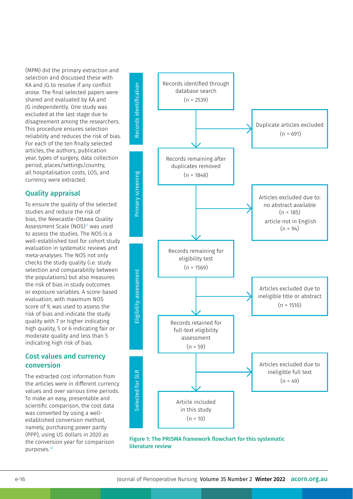(MPM) did the primary extraction and selection and discussed these with KA and JG to resolve if any conflict arose. The final selected papers were shared and evaluated by KA and JG independently. One study was excluded at the last stage due to disagreement among the researchers. This procedure ensures selection reliability and reduces the risk of bias. For each of the ten finally selected articles, the authors, publication year, types of surgery, data collection period, places/settings/country, all hospitalisation costs, LOS, and currency were extracted.

### Quality appraisal

To ensure the quality of the selected studies and reduce the risk of bias, the Newcastle-Ottawa Quality Assessment Scale (NOS)<sup>37</sup> was used to assess the studies. The NOS is a well-established tool for cohort study evaluation in systematic reviews and meta-analyses. The NOS not only checks the study quality (i.e. study selection and comparability between the populations) but also measures the risk of bias in study outcomes or exposure variables. A score-based evaluation, with maximum NOS score of 9, was used to assess the risk of bias and indicate the study quality with 7 or higher indicating high quality, 5 or 6 indicating fair or moderate quality and less than 5 indicating high risk of bias.

### Cost values and currency conversion

The extracted cost information from the articles were in different currency values and over various time periods. To make an easy, presentable and scientific comparison, the cost data was converted by using a wellestablished conversion method, namely, purchasing power parity (PPP), using US dollars in 2020 as the conversion year for comparison purposes.38



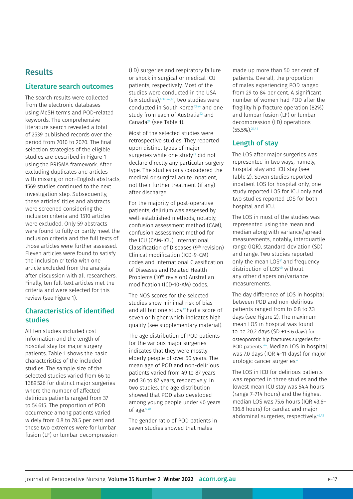### **Results**

#### Literature search outcomes

The search results were collected from the electronic databases using MeSH terms and POD-related keywords. The comprehensive literature search revealed a total of 2539 published records over the period from 2010 to 2020. The final selection strategies of the eligible studies are described in Figure 1 using the PRISMA framework. After excluding duplicates and articles with missing or non-English abstracts, 1569 studies continued to the next investigation step. Subsequently, these articles' titles and abstracts were screened considering the inclusion criteria and 1510 articles were excluded. Only 59 abstracts were found to fully or partly meet the inclusion criteria and the full texts of those articles were further assessed. Eleven articles were found to satisfy the inclusion criteria with one article excluded from the analysis after discussion with all researchers. Finally, ten full-text articles met the criteria and were selected for this review (see Figure 1).

### Characteristics of identified studies

All ten studies included cost information and the length of hospital stay for major surgery patients. Table 1 shows the basic characteristics of the included studies. The sample size of the selected studies varied from 66 to 1 389526 for distinct major surgeries where the number of affected delirious patients ranged from 37 to 54615. The proportion of POD occurrence among patients varied widely from 0.8 to 78.5 per cent and these two extremes were for lumbar fusion (LF) or lumbar decompression (LD) surgeries and respiratory failure or shock in surgical or medical ICU patients, respectively. Most of the studies were conducted in the USA (six studies),  $4,39-42,45$ , two studies were conducted in South Korea<sup>43,44</sup> and one study from each of Australia<sup>22</sup> and Canada<sup>24</sup> (see Table 1).

Most of the selected studies were retrospective studies. They reported upon distinct types of major surgeries while one study<sup>22</sup> did not declare directly any particular surgery type. The studies only considered the medical or surgical acute inpatient, not their further treatment (if any) after discharge.

For the majority of post-operative patients, delirium was assessed by well-established methods, notably, confusion assessment method (CAM), confusion assessment method for the ICU (CAM-ICU), International Classification of Diseases (9th revision) Clinical modification (ICD-9-CM) codes and International Classification of Diseases and Related Health Problems (10<sup>th</sup> revision) Australian modification (ICD-10-AM) codes.

The NOS scores for the selected studies show minimal risk of bias and all but one study $39$  had a score of seven or higher which indicates high quality (see supplementary material).

The age distribution of POD patients for the various major surgeries indicates that they were mostly elderly people of over 50 years. The mean age of POD and non-delirious patients varied from 49 to 87 years and 36 to 87 years, respectively. In two studies, the age distribution showed that POD also developed among young people under 40 years of age.4,40

The gender ratio of POD patients in seven studies showed that males

made up more than 50 per cent of patients. Overall, the proportion of males experiencing POD ranged from 29 to 84 per cent. A significant number of women had POD after the fragility hip fracture operation (82%) and lumbar fusion (LF) or lumbar decompression (LD) operations (55.5%).24,41

#### Length of stay

The LOS after major surgeries was represented in two ways, namely, hospital stay and ICU stay (see Table 2). Seven studies reported inpatient LOS for hospital only, one study reported LOS for ICU only and two studies reported LOS for both hospital and ICU.

The LOS in most of the studies was represented using the mean and median along with variance/spread measurements, notably, interquartile range (IQR), standard deviation (SD) and range. Two studies reported only the mean LOS<sup>41</sup> and frequency distribution of LOS<sup>40</sup> without any other dispersion/variance measurements.

The day difference of LOS in hospital between POD and non-delirious patients ranged from to 0.8 to 7.3 days (see Figure 2). The maximum mean LOS in hospital was found to be 20.2 days (SD  $\pm$ 13.6 days) for osteoporotic hip fractures surgeries for POD patients.<sup>44</sup>. Median LOS in hospital was 7.0 days (IQR 4–11 days) for major urologic cancer surgeries.4

The LOS in ICU for delirious patients was reported in three studies and the lowest mean ICU stay was 54.4 hours (range 7–714 hours) and the highest median LOS was 75.6 hours (IQR 43.6– 136.8 hours) for cardiac and major abdominal surgeries, respectively.<sup>42,43</sup>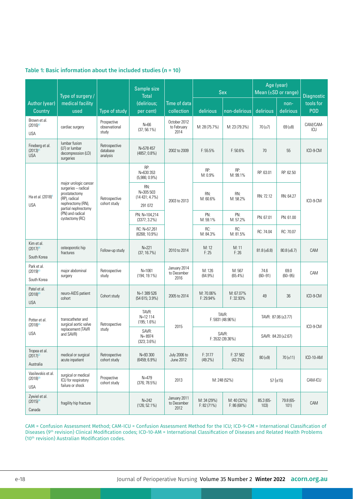|                                                          | Type of surgery /                                                                                                                                                 |                                       | Sample size<br><b>Total</b>                     |                                     | <b>Sex</b>                   |                           | Age (year)<br>Mean $(\pm SD$ or range) |                     | <b>Diagnostic</b> |
|----------------------------------------------------------|-------------------------------------------------------------------------------------------------------------------------------------------------------------------|---------------------------------------|-------------------------------------------------|-------------------------------------|------------------------------|---------------------------|----------------------------------------|---------------------|-------------------|
| Author (year)<br>Country                                 | medical facility<br>used                                                                                                                                          | Type of study                         | (delirious;<br>per cent)                        | Time of data<br>collection          | delirious                    | non-delirious             | delirious                              | non-<br>delirious   | tools for<br>POD  |
| Brown et al.<br>$(2016)^{42}$<br><b>USA</b>              | cardiac surgery                                                                                                                                                   | Prospective<br>observational<br>study | $N=66$<br>$(37; 56.1\%)$                        | October 2012<br>to February<br>2014 | M: 28 (75.7%)                | M: 23 (79.3%)             | $70(\pm 7)$                            | $69(\pm 8)$         | CAM/CAM-<br>ICU   |
| Fineberg et al.<br>$(2013)^{41}$<br><b>USA</b>           | lumbar fusion<br>(LF) or lumbar<br>decompression (LD)<br>surgeries                                                                                                | Retrospective<br>database<br>analysis | N=578 457<br>$(4857; 0.8\%)$                    | 2002 to 2009                        | $F: 55.5\%$                  | F: 50.6%                  | 70                                     | 55                  | ICD-9-CM          |
| Ha et al. (2018) <sup>4</sup><br><b>USA</b>              | major urologic cancer<br>surgeries - radical<br>prostatectomy<br>(RP), radical<br>nephrectomy (RN),<br>partial nephrectomy<br>(PN) and radical<br>cystectomy (RC) | Retrospective<br>cohort study         | RP:<br>N=630 353<br>$(5,986; 0.9\%)$            | 2003 to 2013                        | RP:<br>M: 0.9%               | RP:<br>M: 99.1%           | RP: 63.01                              | RP: 62.50           | ICD-9-CM          |
|                                                          |                                                                                                                                                                   |                                       | RN:<br>N=305 503<br>$(14431; 4.7\%)$<br>291 072 |                                     | RN:<br>M: 60.6%              | RN:<br>M: 58.2%           | RN: 72.12                              | RN: 64.27           |                   |
|                                                          |                                                                                                                                                                   |                                       | PN: N=104,214<br>$(3377; 3.2\%)$                |                                     | PN:<br>M: 59.1%              | PN:<br>M: 57.2%           | PN: 67.01                              | PN: 61.00           |                   |
|                                                          |                                                                                                                                                                   |                                       | RC: N=57,261<br>$(6268; 10.9\%)$                |                                     | RC:<br>M: 84.3%              | RC:<br>M: 81.5%           | RC: 74.04                              | RC: 70.07           |                   |
| Kim et al.<br>$(2017)^{44}$<br>South Korea               | osteoporotic hip<br>fractures                                                                                                                                     | Follow-up study                       | $N = 221$<br>(37; 16.7%)                        | 2010 to 2014                        | M: 12<br>F: 25               | M: 11<br>F:26             | $81.8 (\pm 6.8)$                       | $80.8 (\pm 6.7)$    | CAM               |
| Park et al.<br>$(2019)^{43}$<br>South Korea              | major abdominal<br>surgery                                                                                                                                        | Retrospective<br>study                | $N = 1061$<br>$(194; 19.1\%)$                   | January 2014<br>to December<br>2016 | M: 126<br>$(64.9\%)$         | M: 567<br>(65.4%)         | 74.6<br>$(60 - 91)$                    | 69.0<br>$(60 - 95)$ | CAM               |
| Patel et al.<br>$(2018)^{40}$<br><b>USA</b>              | neuro-AIDS patient<br>cohort                                                                                                                                      | Cohort study                          | N=1 389 526<br>$(54615; 3.9\%)$                 | 2005 to 2014                        | M: 70.06%<br>F: 29.94%       | M: 67.07%<br>F: 32.93%    | 49                                     | 36                  | ICD-9-CM          |
| Potter et al.                                            | transcatheter and<br>surgical aortic valve<br>replacement (TAVR<br>and SAVR)                                                                                      | Retrospective<br>study                | TAVR:<br>N=12 114<br>$(195; 1.6\%)$             |                                     | TAVR:<br>F: 5931 (48.96%)    |                           | TAVR: 87.06 (±3.77)                    |                     | ICD-9-CM          |
| $(2018)^{45}$<br><b>USA</b>                              |                                                                                                                                                                   |                                       | SAVR:<br>$N = 8974$<br>$(323; 3.6\%)$           | 2015                                | SAVR:<br>F: 3532 (39.36%)    |                           | SAVR: 84.20 (±2.67)                    |                     |                   |
| Tropea et al.<br>$(2017)^{22}$<br>Australia              | medical or surgical<br>acute inpatient                                                                                                                            | Retrospective<br>cohort study         | N=93 300<br>$(6459; 6.9\%)$                     | July 2006 to<br>June 2012           | F: 3177<br>$(49.2\%)$        | F: 37 582<br>$(43.3\%)$   | $80 (\pm 9)$                           | $70(\pm 11)$        | ICD-10-AM         |
| Vasilevskis et al.<br>(2018) <sup>39</sup><br><b>USA</b> | surgical or medical<br>ICU for respiratory<br>failure or shock                                                                                                    | Prospective<br>cohort study           | $N = 479$<br>(376; 78.5%)                       | 2013                                |                              | M: 248 (52%)              |                                        | $57 (\pm 15)$       | CAM-ICU           |
| Zywiel et al.<br>$(2015)^{24}$<br>Canada                 | fragility hip fracture                                                                                                                                            |                                       | $N = 242$<br>$(126; 52.1\%)$                    | January 2011<br>to December<br>2012 | M: 34 (29%)<br>$F: 82(71\%)$ | M: 40 (32%)<br>F: 86(68%) | 85.3 (65-<br>103)                      | 79.8 (65-<br>101)   | CAM               |

#### Table 1: Basic information about the included studies (n = 10)

CAM = Confusion Assessment Method; CAM-ICU = Confusion Assessment Method for the ICU; ICD-9-CM = International Classification of Diseases (9th revision) Clinical Modification codes; ICD-10-AM = International Classification of Diseases and Related Health Problems (10th revision) Australian Modification codes.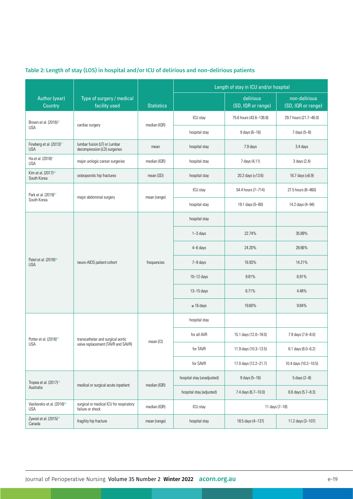# Table 2: Length of stay (LOS) in hospital and/or ICU of delirious and non-delirious patients

|                                                       |                                                              |                   | Length of stay in ICU and/or hospital |                                 |                                     |  |
|-------------------------------------------------------|--------------------------------------------------------------|-------------------|---------------------------------------|---------------------------------|-------------------------------------|--|
| Author (year)<br>Country                              | Type of surgery / medical<br>facility used                   | <b>Statistics</b> |                                       | delirious<br>(SD, IQR or range) | non-delirious<br>(SD, IQR or range) |  |
| Brown et al. (2016) <sup>42</sup>                     |                                                              |                   | ICU stay                              | 75.6 hours (43.6-136.8)         | 29.7 hours (21.7-46.0)              |  |
| <b>USA</b>                                            | cardiac surgery                                              | median (IQR)      | hospital stay                         | 9 days (6-16)                   | 7 days (5-8)                        |  |
| Fineberg et al. (2013) <sup>41</sup><br><b>USA</b>    | lumbar fusion (LF) or Lumbar<br>decompression (LD) surgeries | mean              | hospital stay                         | 7.9 days                        | 3.4 days                            |  |
| Ha et al. (2018) <sup>4</sup><br><b>USA</b>           | major urologic cancer surgeries                              | median (IQR)      | hospital stay                         | 7 days (4,11)                   | 3 days (2,4)                        |  |
| Kim et al. (2017) <sup>44</sup><br>South Korea        | osteoporotic hip fractures                                   | mean (SD)         | hospital stay                         | 20.2 days (±13.6)               | 16.7 days $(\pm 6.9)$               |  |
| Park et al. (2019) <sup>43</sup>                      | major abdominal surgery                                      | mean (range)      | ICU stay                              | 54.4 hours (7-714)              | 27.5 hours (8-460)                  |  |
| South Korea                                           |                                                              |                   | hospital stay                         | 19.1 days (5-60)                | 14.2 days (4-94)                    |  |
|                                                       |                                                              |                   | hospital stay                         |                                 |                                     |  |
|                                                       |                                                              | frequencies       | $1 - 3$ days                          | 22.74%                          | 35.89%                              |  |
|                                                       |                                                              |                   | 4-6 days                              | 24.20%                          | 28.66%                              |  |
| Patel et al. (2018) <sup>40</sup><br><b>USA</b>       | neuro-AIDS patient cohort                                    |                   | 7-9 days                              | 16.93%                          | 14.21%                              |  |
|                                                       |                                                              |                   | 10-12 days                            | 9.81%                           | 6.91%                               |  |
|                                                       |                                                              |                   | 13-15 days                            | 6.71%                           | 4.48%                               |  |
|                                                       |                                                              |                   | $\geq$ 16 days                        | 19.60%                          | 9.84%                               |  |
|                                                       |                                                              |                   | hospital stay                         |                                 |                                     |  |
| Potter et al. (2018) <sup>45</sup>                    | transcatheter and surgical aortic                            | mean (CI)         | for all AVR                           | 15.1 days (12.0-18.0)           | 7.9 days (7.8-8.0)                  |  |
| USA                                                   | valve replacement (TAVR and SAVR)                            |                   | for TAVR                              | 11.9 days (10.3-13.5)           | 6.1 days (6.0-6.2)                  |  |
|                                                       |                                                              |                   | for SAVR                              | 17.0 days (12.2-21.7)           | 10.4 days (10.2-10.5)               |  |
| Tropea et al. (2017) <sup>22</sup>                    | medical or surgical acute inpatient                          | median (IQR)      | hospital stay (unadjusted)            | 9 days (5-16)                   | 5 days (2-8)                        |  |
| Australia                                             |                                                              |                   | hospital stay (adjusted)              | 7.4 days (6.7-10.0)             | 6.6 days (5.7-8.3)                  |  |
| Vasilevskis et al. (2018) <sup>39</sup><br><b>USA</b> | surgical or medical ICU for respiratory<br>failure or shock  | median (IQR)      | ICU stay                              |                                 | 11 days (7-18)                      |  |
| Zywiel et al. (2015) <sup>24</sup><br>Canada          | fragility hip fracture                                       | mean (range)      | hospital stay                         | 18.5 days (4-137)               | 11.2 days (3-107)                   |  |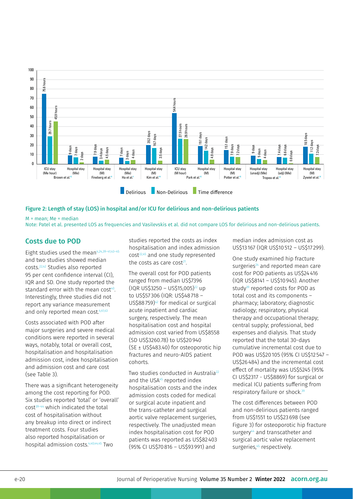

#### Figure 2: Length of stay (LOS) in hospital and/or ICU for delirious and non-delirious patients

M = mean; Me = median

Note: Patel et al. presented LOS as frequencies and Vasilevskis et al. did not compare LOS for delirious and non-delirious patients.

### Costs due to POD

Eight studies used the mean $4,24,39-41,43-45$ and two studies showed median costs.22,42 Studies also reported 95 per cent confidence interval (CI), IQR and SD. One study reported the standard error with the mean cost<sup>40</sup>. Interestingly, three studies did not report any variance measurement and only reported mean cost.<sup>4,41,43</sup>

Costs associated with POD after major surgeries and severe medical conditions were reported in several ways, notably, total or overall cost, hospitalisation and hospitalisation admission cost, index hospitalisation and admission cost and care cost (see Table 3).

There was a significant heterogeneity among the cost reporting for POD. Six studies reported 'total' or 'overall' cost39–44 which indicated the total cost of hospitalisation without any breakup into direct or indirect treatment costs. Four studies also reported hospitalisation or hospital admission costs.4,40,44,45 Two

studies reported the costs as index hospitalisation and index admission cost<sup>22,45</sup> and one study represented the costs as care cost $21$ .

The overall cost for POD patients ranged from median US\$7396  $(IQR$  US\$3250 – US\$15,005)<sup>22</sup> up to US\$57 306 (IQR: US\$48718 – US\$88759)42 for medical or surgical acute inpatient and cardiac surgery, respectively. The mean hospitalisation cost and hospital admission cost varied from US\$8558 (SD US\$3260.78) to US\$20940 (SE ± US\$483.40) for osteoporotic hip fractures and neuro-AIDS patient cohorts.

Two studies conducted in Australia<sup>22</sup> and the USA<sup>45</sup> reported index hospitalisation costs and the index admission costs coded for medical or surgical acute inpatient and the trans-catheter and surgical aortic valve replacement surgeries, respectively. The unadjusted mean index hospitalisation cost for POD patients was reported as US\$82403 (95% CI US\$70816 – US\$93991) and

median index admission cost as US\$13 167 (IQR US\$10512 – US\$17 299).

One study examined hip fracture surgeries $24$  and reported mean care cost for POD patients as US\$24416 (IQR US\$8141 – US\$10945). Another study<sup>39</sup> reported costs for POD as total cost and its components – pharmacy; laboratory; diagnostic radiology; respiratory, physical therapy and occupational therapy; central supply; professional, bed expenses and dialysis. That study reported that the total 30-days cumulative incremental cost due to POD was US\$20105 (95% CI US\$12 547 – US\$26484) and the incremental cost effect of mortality was US\$5245 (95% CI US\$2317 - US\$8869) for surgical or medical ICU patients suffering from respiratory failure or shock.39

The cost differences between POD and non-delirious patients ranged from US\$1551 to US\$23698 (see Figure 3) for osteoporotic hip fracture surgery<sup>44</sup> and transcatheter and surgical aortic valve replacement surgeries,<sup>45</sup> respectively.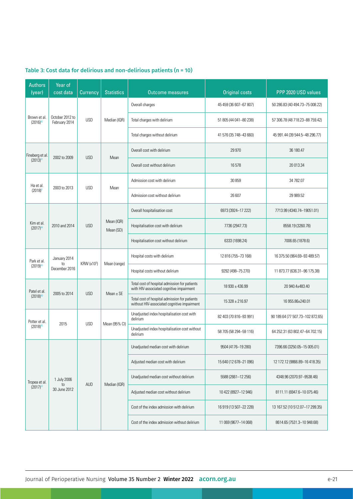| <b>Authors</b><br>(year)                         | Year of<br>cost data              | Currency   | <b>Statistics</b>       | <b>Outcome measures</b>                                                                      | <b>Original costs</b>    | PPP 2020 USD values              |  |
|--------------------------------------------------|-----------------------------------|------------|-------------------------|----------------------------------------------------------------------------------------------|--------------------------|----------------------------------|--|
| Brown et al.<br>$(2016)^{42}$                    |                                   | <b>USD</b> | Median (IQR)            | Overall charges                                                                              | 45 459 (36 607-67 807)   | 50 286.83 (40 494.73-75 008.22)  |  |
|                                                  | October 2012 to<br>February 2014  |            |                         | Total charges with delirium                                                                  | 51 805 (44 041-80 238)   | 57 306.78 (48 718.23-88 759.42)  |  |
|                                                  |                                   |            |                         | Total charges without delirium                                                               | 41 576 (35 748 - 43 660) | 45 991.44 (39 544.5-48 296.77)   |  |
| Fineberg et al.<br>2002 to 2009<br>$(2013)^{41}$ |                                   | <b>USD</b> | Mean                    | Overall cost with delirium                                                                   | 29 970                   | 36 180.47                        |  |
|                                                  |                                   |            |                         | Overall cost without delirium                                                                | 16578                    | 20 013.34                        |  |
| Ha et al.                                        | 2003 to 2013                      | <b>USD</b> | Mean                    | Admission cost with delirium                                                                 | 30 859                   | 34 782.07                        |  |
| $(2018)^4$                                       |                                   |            |                         | Admission cost without delirium                                                              | 26 607                   | 29 989.52                        |  |
|                                                  |                                   |            | Mean (IQR)<br>Mean (SD) | Overall hospitalisation cost<br>6973 (3924-17 222)                                           |                          | 7713.99 (4340.74-19051.01)       |  |
| Kim et al.<br>$(2017)^{44}$                      | 2010 and 2014                     | <b>USD</b> |                         | Hospitalisation cost with delirium                                                           | 7736 (2947.73)           | 8558.19 (3260.78)                |  |
|                                                  |                                   |            |                         | Hospitalisation cost without delirium                                                        | 6333 (1698.24)           | 7006.65 (1878.6)                 |  |
| Park et al.<br>to<br>$(2019)^{43}$               | January 2014                      | KRW (x103) | Mean (range)            | Hospital costs with delirium                                                                 | 12 816 (755-73 168)      | 16 375.50 (964.69-93 489.57)     |  |
|                                                  | December 2016                     |            |                         | Hospital costs without delirium                                                              | 9292 (498-75 270)        | 11 873.77 (636.31-96 175.38)     |  |
| Patel et al.<br>$(2018)^{40}$                    | 2005 to 2014                      | <b>USD</b> | Mean $\pm$ SE           | Total cost of hospital admission for patients<br>with HIV-associated cognitive impairment    | 18 930 ± 436.99          | 20 940.4±483.40                  |  |
|                                                  |                                   |            |                         | Total cost of hospital admission for patients<br>without HIV-associated cognitive impairment | $15328 \pm 216.97$       | 16 955.86±240.01                 |  |
| Potter et al.<br>2015<br>$(2018)^{45}$           |                                   | <b>USD</b> | Mean (95% CI)           | Unadjusted index hospitalisation cost with<br>delirium                                       | 82 403 (70 816-93 991)   | 90 189.64 (77 507.73-102 872.65) |  |
|                                                  |                                   |            |                         | Unadjusted index hospitalisation cost without<br>delirium                                    | 58 705 (58 294 - 59 116) | 64 252.31 (63 802.47-64 702.15)  |  |
|                                                  | 1 July 2006<br>to<br>30 June 2012 | <b>AUD</b> | Median (IQR)            | Unadjusted median cost with delirium                                                         | 9504 (4176-19 280)       | 7396.66 (3250.05-15 005.01)      |  |
| Tropea et al.<br>$(2017)^{22}$                   |                                   |            |                         | Adjusted median cost with delirium                                                           | 15 640 (12 678-21 096)   | 12 172.12 (9866.89-16 418.35)    |  |
|                                                  |                                   |            |                         | Unadjusted median cost without delirium                                                      | 5588 (2661-12 256)       | 4348.96 (2070.97-9538.46)        |  |
|                                                  |                                   |            |                         | Adjusted median cost without delirium                                                        | 10 422 (8927-12 946)     | 8111.11 (6947.6-10 075.46)       |  |
|                                                  |                                   |            |                         | Cost of the index admission with delirium                                                    | 16 919 (13 507-22 228)   | 13 167.52 (10 512.07-17 299.35)  |  |
|                                                  |                                   |            |                         | Cost of the index admission without delirium                                                 | 11 069 (9677-14 068)     | 8614.65 (7531.3-10 948.68)       |  |

# Table 3: Cost data for delirious and non-delirious patients (n = 10)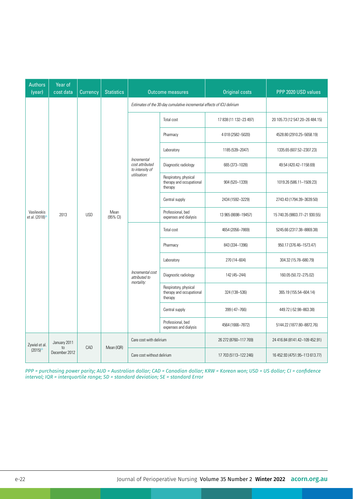| <b>Authors</b><br>(year)                   | Year of<br>cost data | Currency   | <b>Statistics</b> | <b>Outcome measures</b>                                                |                                                              | <b>Original costs</b>  | PPP 2020 USD values             |  |
|--------------------------------------------|----------------------|------------|-------------------|------------------------------------------------------------------------|--------------------------------------------------------------|------------------------|---------------------------------|--|
| Vasilevskis<br>et al. (2018) <sup>36</sup> | 2013                 | <b>USD</b> | Mean<br>(95% CI)  | Estimates of the 30-day cumulative incremental effects of ICU delirium |                                                              |                        |                                 |  |
|                                            |                      |            |                   | Incremental<br>cost attributed<br>to intensity of<br>utilisation:      | Total cost                                                   | 17 838 (11 132-23 497) | 20 105.73 (12 547.20-26 484.15) |  |
|                                            |                      |            |                   |                                                                        | Pharmacy                                                     | 4 018 (2582-5020)      | 4528.80 (2910.25-5658.19)       |  |
|                                            |                      |            |                   |                                                                        | Laboratory                                                   | 1185 (539-2047)        | 1335.65 (607.52-2307.23)        |  |
|                                            |                      |            |                   |                                                                        | Diagnostic radiology                                         | 665 (373-1028)         | 49.54 (420.42-1158.69)          |  |
|                                            |                      |            |                   |                                                                        | Respiratory, physical<br>therapy and occupational<br>therapy | 904 (520-1339)         | 1019.26 (586.11-1509.23)        |  |
|                                            |                      |            |                   |                                                                        | Central supply                                               | 2434 (1592-3229)       | 2743.43 (1794.39-3639.50)       |  |
|                                            |                      |            |                   |                                                                        | Professional, bed<br>expenses and dialysis                   | 13 965 (8698-19457)    | 15 740.35 (9803.77-21 930.55)   |  |
|                                            |                      |            |                   | Incremental cost<br>attributed to<br>mortality:                        | Total cost                                                   | 4654 (2056-7869)       | 5245.66 (2317.38-8869.38)       |  |
|                                            |                      |            |                   |                                                                        | Pharmacy                                                     | 843 (334-1396)         | 950.17 (376.46-1573.47)         |  |
|                                            |                      |            |                   |                                                                        | Laboratory                                                   | 270 (14-604)           | 304.32 (15.78-680.79)           |  |
|                                            |                      |            |                   |                                                                        | Diagnostic radiology                                         | 142 (45-244)           | 160.05 (50.72-275.02)           |  |
|                                            |                      |            |                   |                                                                        | Respiratory, physical<br>therapy and occupational<br>therapy | 324 (138-536)          | 365.19 (155.54-604.14)          |  |
|                                            |                      |            |                   |                                                                        | Central supply                                               | 399 (-47-766)          | 449.72 (-52.98-863.38)          |  |
|                                            |                      |            |                   |                                                                        | Professional, bed<br>expenses and dialysis                   | 4564 (1666-7872)       | 5144.22 (1877.80-8872.76)       |  |
| Zywiel et al.                              | January 2011         | CAD        | Mean (IQR)        | Care cost with delirium                                                |                                                              | 26 272 (8760-117 769)  | 24 416.84 (8141.42-109 452.91)  |  |
| $(2015)^{24}$                              | to<br>December 2012  |            |                   | Care cost without delirium                                             |                                                              | 17 703 (5113-122 246)  | 16 452.93 (4751.95-113 613.77)  |  |

*PPP = purchasing power parity; AUD = Australian dollar; CAD = Canadian dollar; KRW = Korean won; USD = US dollar; CI = confidence interval; IQR = interquartile range; SD = standard deviation; SE = standard Error*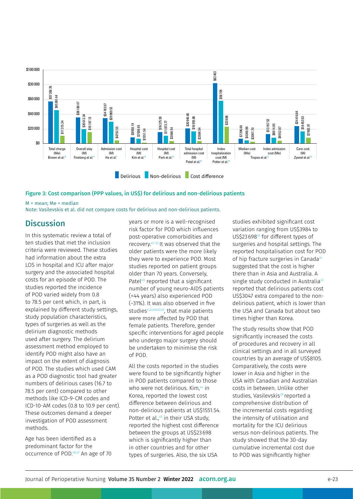

#### Figure 3: Cost comparison (PPP values, in US\$) for delirious and non-delirious patients

M = mean; Me = median

Note: Vasilevskis et al. did not compare costs for delirious and non-delirious patients.

### **Discussion**

In this systematic review a total of ten studies that met the inclusion criteria were reviewed. These studies had information about the extra LOS in hospital and ICU after major surgery and the associated hospital costs for an episode of POD. The studies reported the incidence of POD varied widely from 0.8 to 78.5 per cent which, in part, is explained by different study settings, study population characteristics, types of surgeries as well as the delirium diagnostic methods used after surgery. The delirium assessment method employed to identify POD might also have an impact on the extent of diagnosis of POD. The studies which used CAM as a POD diagnostic tool had greater numbers of delirious cases (16.7 to 78.5 per cent) compared to other methods like ICD-9-CM codes and ICD-10-AM codes (0.8 to 10.9 per cent). These outcomes demand a deeper investigation of POD assessment methods.

Age has been identified as a predominant factor for the occurrence of POD.46,47 An age of 70 years or more is a well-recognised risk factor for POD which influences post-operative comorbidities and recovery.47–52 It was observed that the older patients were the more likely they were to experience POD. Most studies reported on patient groups older than 70 years. Conversely, Patel<sup>40</sup> reported that a significant number of young neuro-AIDS patients (<44 years) also experienced POD (~31%). It was also observed in five studies<sup>4,22,40,42,43</sup>, that male patients were more affected by POD that female patients. Therefore, gender specific interventions for aged people who undergo major surgery should be undertaken to minimise the risk of POD.

All the costs reported in the studies were found to be significantly higher in POD patients compared to those who were not delirious. Kim,<sup>44</sup> in Korea, reported the lowest cost difference between delirious and non-delirious patients at US\$1551.54. Potter et al.,<sup>45</sup> in their USA study, reported the highest cost difference between the groups at US\$23698 which is significantly higher than in other countries and for other types of surgeries. Also, the six USA

studies exhibited significant cost variation ranging from US\$3984 to US\$23698<sup>45</sup> for different types of surgeries and hospital settings. The reported hospitalisation cost for POD of hip fracture surgeries in Canada<sup>24</sup> suggested that the cost is higher there than in Asia and Australia. A single study conducted in Australia<sup>22</sup> reported that delirious patients cost US\$3047 extra compared to the nondelirious patient, which is lower than the USA and Canada but about two times higher than Korea.

The study results show that POD significantly increased the costs of procedures and recovery in all clinical settings and in all surveyed countries by an average of US\$8105. Comparatively, the costs were lower in Asia and higher in the USA with Canadian and Australian costs in between. Unlike other studies, Vasilevskis<sup>39</sup> reported a comprehensive distribution of the incremental costs regarding the intensity of utilisation and mortality for the ICU delirious versus non-delirious patients. The study showed that the 30-day cumulative incremental cost due to POD was significantly higher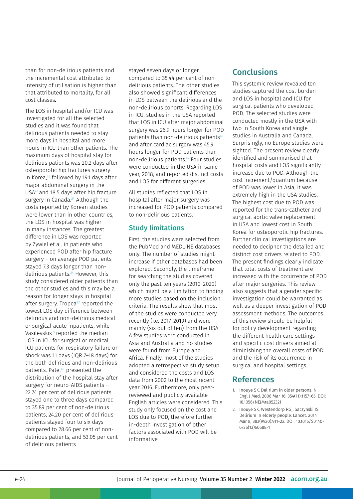than for non-delirious patients and the incremental cost attributed to intensity of utilisation is higher than that attributed to mortality, for all cost classes**.**

The LOS in hospital and/or ICU was investigated for all the selected studies and it was found that delirious patients needed to stay more days in hospital and more hours in ICU than other patients. The maximum days of hospital stay for delirious patients was 20.2 days after osteoporotic hip fractures surgery in Korea,<sup>44</sup> followed by 19.1 days after major abdominal surgery in the USA43 and 18.5 days after hip fracture surgery in Canada.<sup>24</sup> Although the costs reported by Korean studies were lower than in other countries, the LOS in hospital was higher in many instances. The greatest difference in LOS was reported by Zywiel et al. in patients who experienced POD after hip fracture surgery – on average POD patients stayed 7.3 days longer than nondelirious patients.24 However, this study considered older patients than the other studies and this may be a reason for longer stays in hospital after surgery. Tropea<sup>22</sup> reported the lowest LOS day difference between delirious and non-delirious medical or surgical acute inpatients, while Vasilevskis<sup>39</sup> reported the median LOS in ICU for surgical or medical ICU patients for respiratory failure or shock was 11 days (IQR 7–18 days) for the both delirious and non-delirious patients. Patel<sup>40</sup> presented the distribution of the hospital stay after surgery for neuro-AIDS patients – 22.74 per cent of delirious patients stayed one to three days compared to 35.89 per cent of non-delirious patients, 24.20 per cent of delirious patients stayed four to six days compared to 28.66 per cent of nondelirious patients, and 53.05 per cent of delirious patients

stayed seven days or longer compared to 35.44 per cent of nondelirious patients. The other studies also showed significant differences in LOS between the delirious and the non-delirious cohorts. Regarding LOS in ICU, studies in the USA reported that LOS in ICU after major abdominal surgery was 26.9 hours longer for POD patients than non-delirious patients<sup>43</sup> and after cardiac surgery was 45.9 hours longer for POD patients than non-delirious patients.42 Four studies were conducted in the USA in same year, 2018, and reported distinct costs and LOS for different surgeries.

All studies reflected that LOS in hospital after major surgery was increased for POD patients compared to non-delirious patients.

### Study limitations

First, the studies were selected from the PubMed and MEDLINE databases only. The number of studies might increase if other databases had been explored. Secondly, the timeframe for searching the studies covered only the past ten years (2010–2020) which might be a limitation to finding more studies based on the inclusion criteria. The results show that most of the studies were conducted very recently (i.e. 2017–2019) and were mainly (six out of ten) from the USA. A few studies were conducted in Asia and Australia and no studies were found from Europe and Africa. Finally, most of the studies adopted a retrospective study setup and considered the costs and LOS data from 2002 to the most recent year 2016. Furthermore, only peerreviewed and publicly available English articles were considered. This study only focused on the cost and LOS due to POD, therefore further in-depth investigation of other factors associated with POD will be informative.

# **Conclusions**

This systemic review revealed ten studies captured the cost burden and LOS in hospital and ICU for surgical patients who developed POD. The selected studies were conducted mostly in the USA with two in South Korea and single studies in Australia and Canada. Surprisingly, no Europe studies were sighted. The present review clearly identified and summarised that hospital costs and LOS significantly increase due to POD. Although the cost increment/quantum because of POD was lower in Asia, it was extremely high in the USA studies. The highest cost due to POD was reported for the trans-catheter and surgical aortic valve replacement in USA and lowest cost in South Korea for osteoporotic hip fractures. Further clinical investigations are needed to decipher the detailed and distinct cost drivers related to POD. The present findings clearly indicate that total costs of treatment are increased with the occurrence of POD after major surgeries. This review also suggests that a gender specific investigation could be warranted as well as a deeper investigation of POD assessment methods. The outcomes of this review should be helpful for policy development regarding the different health care settings and specific cost drivers aimed at diminishing the overall costs of POD and the risk of its occurrence in surgical and hospital settings.

### References

- 1. Inouye SK. Delirium in older persons. N Engl J Med. 2006 Mar 16; 354(11):1157–65. DOI: 10.1056/NEJMra052321
- 2. Inouye SK, Westendorp RGJ, Saczynski JS. Delirium in elderly people. Lancet. 2014 Mar 8; 383(9920):911–22. DOI: 10.1016/S0140- 6736(13)60688-1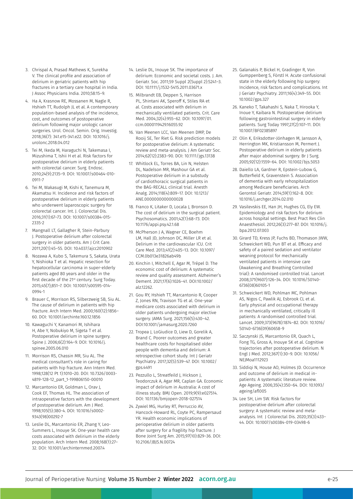- 3. Chrispal A, Prasad Mathews K, Surekha V. The clinical profile and association of delirium in geriatric patients with hip fractures in a tertiary care hospital in India. J Assoc Physicians India. 2010;58:15–9.
- 4. Ha A, Krasnow RE, Mossanen M, Nagle R, Hshieh TT, Rudolph JL et al. A contemporary population-based analysis of the incidence, cost, and outcomes of postoperative delirium following major urologic cancer surgeries. Urol. Oncol. Semin. Orig. Investig. 2018;36(7): 341.e15-341.e22. DOI: 10.1016/j. urolonc.2018.04.012
- 5. Tei M, Ikeda M, Haraguchi N, Takemasa I, Mizushima T, Ishii H et al. Risk factors for postoperative delirium in elderly patients with colorectal cancer. Surg. Endosc. 2010;24(9):2135–9. DOI: 10.1007/s00464-010- 0911-7
- 6. Tei M, Wakasugi M, Kishi K, Tanemura M, Akamatsu H. Incidence and risk factors of postoperative delirium in elderly patients who underwent laparoscopic surgery for colorectal cancer. Int. J. Colorectal Dis. 2016;31(1):67–73. DOI: 10.1007/s00384-015- 2335-2
- 7. Mangnall LT, Gallagher R, Stein-Parbury J. Postoperative delirium after colorectal surgery in older patients. Am J Crit Care. 2011;20(1):45–55. DOI: 10.4037/ajcc2010902
- 8. Nozawa A, Kubo S, Takemura S, Sakata, Urata Y, Nishioka T et al. Hepatic resection for hepatocellular carcinoma in super-elderly patients aged 80 years and older in the first decade of the 21<sup>st</sup> century. Surg Today. 2015;45(7);851–7. DOI: 10.1007/s00595-014- 0994-1
- 9. Brauer C, Morrison RS, Silberzweig SB, Siu AL. The cause of delirium in patients with hip fracture. Arch Intern Med. 2000;160(12):1856– 60. DOI: 10.1001/archinte.160.12.1856
- 10. Kawaguchi Y, Kanamori M, [Ishihara](https://www.sciencedirect.com/science/article/abs/pii/S1529943005007096)  [H, A](https://www.sciencedirect.com/science/article/abs/pii/S1529943005007096)be Y, Nobukiyo M, Sigeta T et al. Postoperative delirium in spine surgery. Spine J. 2006;6(2):164–9. DOI: 10.1016/j. spinee.2005.06.010
- 11. Morrison RS, Chassin MR, Siu AL. The medical consultant's role in caring for patients with hip fracture. Ann Intern Med. 1998;128(12 Pt 1):1010–20. DOI: 10.7326/0003- 4819-128-12\_part\_1-199806150-00010
- 12. Marcantonio ER, Goldman L, Orav J, Cook EF, Thomas HL. The association of intraoperative factors with the development of postoperative delirium. Am J Med. 1998;105(5):380-4. DOI: 10.1016/s0002- 9343(98)00292-7
- 13. Leslie DL, Marcantonio ER, Zhang Y, Leo-Summers L, Inouye SK. One-year health care costs associated with delirium in the elderly population. Arch Intern Med. 2008;168(1):27– 32. DOI: 10.1001/archinternmed.2007.4
- 14. Leslie DL, Inouye SK. The importance of delirium: Economic and societal costs. J. Am. Geriatr. Soc. 2011;59 Suppl 2(Suppl 2):S241–3. DOI: 10.1111/j.1532-5415.2011.03671.x
- 15. Milbrandt EB, Deppen S, Harrison PL, Shintani AK, Speroff K, Stiles RA et al. Costs associated with delirium in mechanically ventilated patients. Crit. Care Med. 2004;32(4):955–62. DOI: 10.1097/01. ccm.0000119429.16055.92
- 16. Van Meenen LCC, Van Meenen DMP, De Rooij SE, Ter Riet G. Risk prediction models for postoperative delirium: A systematic review and meta-analysis. J Am Geriatr Soc. 2014;62(12):2383–90. DOI: 10.1111/jgs.13138
- 17. Whitlock EL, Torres BA, Lin N, Helsten DL, Nadelson MR, Mashour GA et al. Postoperative delirium in a substudy of cardiothoracic surgical patients in the BAG-RECALL clinical trial. Anesth Analg. 2014;118(4):809–17. DOI: 10.1213/ ANE.0000000000000028
- 18. Franco K, Litaker D, Locala J, Bronson D. The cost of delirium in the surgical patient. Psychosomatics. 2001;42(1):68–73. DOI: 10.1176/appi.psy.42.1.68
- 19. McPherson J A, Wagner CE, Boehm LM, Hall JD, Johnson DC, Miller LR et al. Delirium in the cardiovascular ICU. Crit Care Med. 2013;41(2):405–13. DOI: 10.1097/ CCM.0b013e31826ab49b
- 20. Kinchin I, Mitchell E, Agar M, Trépel D. The economic cost of delirium: A systematic review and quality assessment. Alzheimer's Dement. 2021;17(6):1026–41. DOI:10.1002/ alz.12262.
- 21. Gou RY, Hshieh TT, Marcantonio R, Cooper Z, Jones RN, Travison TG et al. One-year medicare costs associated with delirium in older patients undergoing major elective surgery. JAMA Surg. 2021;156(5):430–42. DOI:10.1001/jamasurg.2020.7260
- 22. Tropea J, LoGiudice D, Liew D, Gorelik A, Brand C. Poorer outcomes and greater healthcare costs for hospitalised older people with dementia and delirium: A retrospective cohort study. Int J Geriatr Psychiatry. 2017;32(5):539–47. DOI: 10.1002/ gps.4491
- 23. Pezzullo L, Streatfeild J, Hickson J, Teodorczuk A, Agar MR, Caplan GA. Economic impact of delirium in Australia: A cost of illness study. BMJ Open. 2019;9(9):e027514. DOI: 10.1136/bmjopen-2018-027514
- 24. Zywiel MG, Hurley RT, Perruccio AV, Hancock-Howard RL, Coyte PC, Rampersaud YR. Health economic implications of perioperative delirium in older patients after surgery for a fragility hip fracture. J Bone Joint Surg Am. 2015;97(10):829–36. DOI: 10.2106/JBJS.N.00724
- 25. Galanakis P, Bickel H, Gradinger R, Von Gumppenberg S, Förstl H. Acute confusional state in the elderly following hip surgery: Incidence, risk factors and complications. Int J Geriatr Psychiatry. 2011;16(4):349–55. DOI: 10.1002/gps.327
- 26. Kaneko T, Takahashi S, Naka T, Hirooka Y, Inoue Y, Kaibara N. Postoperative delirium following gastrointestinal surgery in elderly patients. Surg Today 1997;27(2):107–11. DOI: 10.1007/BF02385897
- 27. Olin K, Eriksdotter-Jönhagen M, Jansson A, Herrington MK, Kristiansson M, Permert J. Postoperative delirium in elderly patients after major abdominal surgery. Br J Surg. 2005;92(12):1559–64. DOI: 10.1002/bjs.5053
- 28. Daiello LA, Gardner R, Epstein-Lubow G, Butterfield K, Gravenstein S. Association of dementia with early rehospitalization among Medicare beneficiaries. Arch Gerontol Geriatr. 2014;59(1):162–8. DOI: 10.1016/j.archger.2014.02.010
- 29. Vasilevskis EE, Han JH, Hughes CG, Ely EW. Epidemiology and risk factors for delirium across hospital settings. Best Pract Res Clin Anaesthesiol. 2012;26(3):277–87. DOI: 10.1016/j. bpa.2012.07.003
- 30. Girard TD, Kress JP, Fuchs BD, Thomason JWW, Schweickert WD, Pun BT et al. Efficacy and safety of a paired sedation and ventilator weaning protocol for mechanically ventilated patients in intensive care (Awakening and Breathing Controlled trial): A randomised controlled trial. Lancet 2008;371(9607):126–34. DOI: 10.1016/S0140- 6736(08)60105-1
- 31. Schweickert WD, Pohlman MC, Pohlman AS, Nigos C, Pawlik AJ, Esbrook CL et al. Early physical and occupational therapy in mechanically ventilated, critically ill patients: A randomised controlled trial. Lancet. 2009;373(9678):1874–82. DOI: 10.1016/ S0140-6736(09)60658-9
- 32. Saczynski JS, Marcantonio ER, Quach L, Fong TG, Gross A, Inouye SK et al. Cognitive trajectories after postoperative delirium. N Engl J Med. 2012;367(1):30–9. DOI: 10.1056/ NEJMoa1112923
- 33. Siddiqi N, House AO, Holmes JD. Occurrence and outcome of delirium in medical inpatients: A systematic literature review. Age Ageing. 2006;35(4):350–64. DOI: 10.1093/ ageing/afl005
- 34. Lee SH, Lim SW. Risk factors for postoperative delirium after colorectal surgery: A systematic review and metaanalysis. Int J Colorectal Dis. 2020;35(3):433– 44. DOI: 10.1007/s00384-019-03498-6